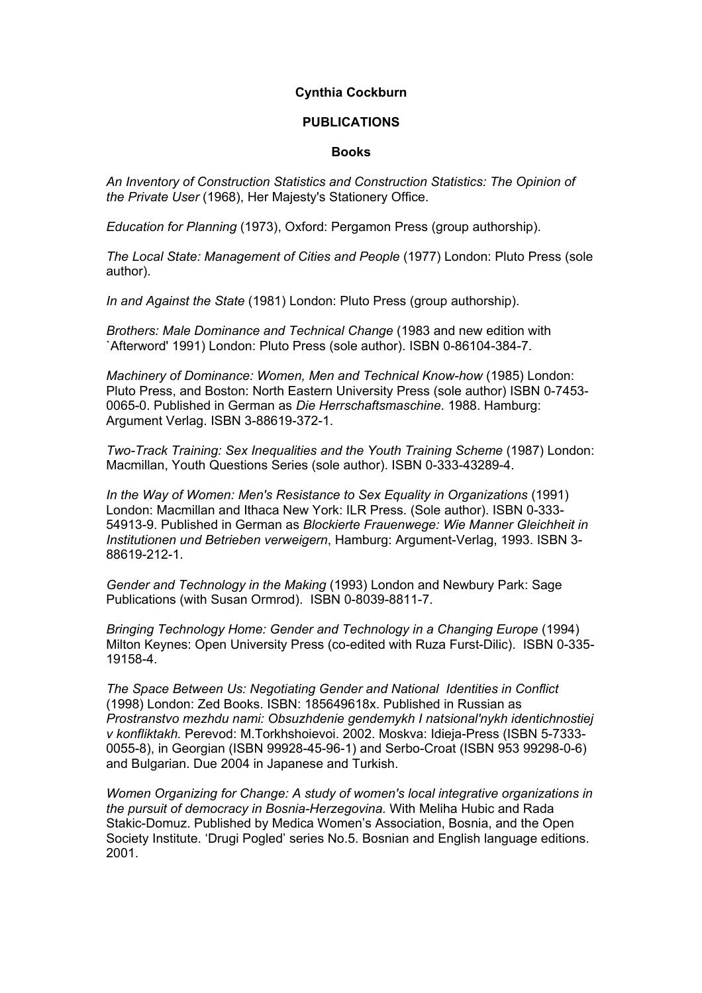## **Cynthia Cockburn**

## **PUBLICATIONS**

## **Books**

*An Inventory of Construction Statistics and Construction Statistics: The Opinion of the Private User* (1968), Her Majesty's Stationery Office.

*Education for Planning* (1973), Oxford: Pergamon Press (group authorship).

*The Local State: Management of Cities and People* (1977) London: Pluto Press (sole author).

*In and Against the State* (1981) London: Pluto Press (group authorship).

*Brothers: Male Dominance and Technical Change* (1983 and new edition with `Afterword' 1991) London: Pluto Press (sole author). ISBN 0-86104-384-7.

*Machinery of Dominance: Women, Men and Technical Know-how* (1985) London: Pluto Press, and Boston: North Eastern University Press (sole author) ISBN 0-7453- 0065-0. Published in German as *Die Herrschaftsmaschine*. 1988. Hamburg: Argument Verlag. ISBN 3-88619-372-1.

*Two-Track Training: Sex Inequalities and the Youth Training Scheme* (1987) London: Macmillan, Youth Questions Series (sole author). ISBN 0-333-43289-4.

*In the Way of Women: Men's Resistance to Sex Equality in Organizations* (1991) London: Macmillan and Ithaca New York: ILR Press. (Sole author). ISBN 0-333- 54913-9. Published in German as *Blockierte Frauenwege: Wie Manner Gleichheit in Institutionen und Betrieben verweigern*, Hamburg: Argument-Verlag, 1993. ISBN 3- 88619-212-1.

*Gender and Technology in the Making* (1993) London and Newbury Park: Sage Publications (with Susan Ormrod). ISBN 0-8039-8811-7.

*Bringing Technology Home: Gender and Technology in a Changing Europe* (1994) Milton Keynes: Open University Press (co-edited with Ruza Furst-Dilic). ISBN 0-335- 19158-4.

*The Space Between Us: Negotiating Gender and National Identities in Conflict* (1998) London: Zed Books. ISBN: 185649618x. Published in Russian as *Prostranstvo mezhdu nami: Obsuzhdenie gendemykh I natsional'nykh identichnostiej v konfliktakh.* Perevod: M.Torkhshoievoi. 2002. Moskva: Idieja-Press (ISBN 5-7333- 0055-8), in Georgian (ISBN 99928-45-96-1) and Serbo-Croat (ISBN 953 99298-0-6) and Bulgarian. Due 2004 in Japanese and Turkish.

*Women Organizing for Change: A study of women's local integrative organizations in the pursuit of democracy in Bosnia-Herzegovina.* With Meliha Hubic and Rada Stakic-Domuz. Published by Medica Women's Association, Bosnia, and the Open Society Institute. 'Drugi Pogled' series No.5. Bosnian and English language editions. 2001.